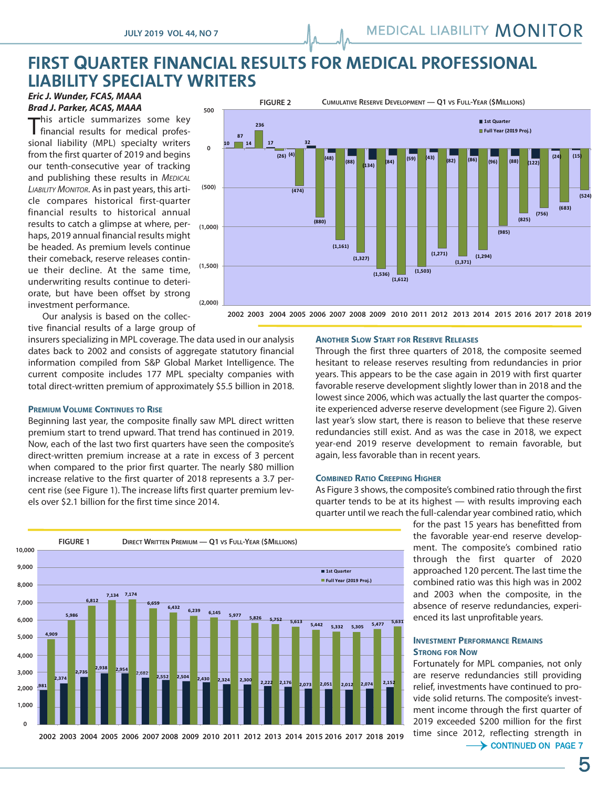# **FIRST QUARTER FINANCIAL RESULTS FOR MEDICAL PROFESSIONAL LIABILITY SPECIALTY WRITERS**

## *Eric J. Wunder, FCAS, MAAA Brad J. Parker, ACAS, MAAA*

This article summarizes some key financial results for medical professional liability (MPL) specialty writers from the first quarter of 2019 and begins our tenth-consecutive year of tracking and publishing these results in *MEDICAL LIABILITY MONITOR*. As in past years, this article compares historical first-quarter financial results to historical annual results to catch a glimpse at where, per- <sub>(1,000)</sub> haps, 2019 annual financial results might be headed. As premium levels continue their comeback, reserve releases continue their decline. At the same time, underwriting results continue to deteriorate, but have been offset by strong investment performance.



Our analysis is based on the collective financial results of a large group of

insurers specializing in MPL coverage. The data used in our analysis dates back to 2002 and consists of aggregate statutory financial information compiled from S&P Global Market Intelligence. The current composite includes 177 MPL specialty companies with total direct-written premium of approximately \$5.5 billion in 2018.

# **PREMIUM VOLUME CONTINUES TO RISE**

Beginning last year, the composite finally saw MPL direct written premium start to trend upward. That trend has continued in 2019. Now, each of the last two first quarters have seen the composite's direct-written premium increase at a rate in excess of 3 percent when compared to the prior first quarter. The nearly \$80 million increase relative to the first quarter of 2018 represents a 3.7 percent rise (see Figure 1). The increase lifts first quarter premium levels over \$2.1 billion for the first time since 2014.



Through the first three quarters of 2018, the composite seemed hesitant to release reserves resulting from redundancies in prior years. This appears to be the case again in 2019 with first quarter favorable reserve development slightly lower than in 2018 and the lowest since 2006, which was actually the last quarter the composite experienced adverse reserve development (see Figure 2). Given last year's slow start, there is reason to believe that these reserve redundancies still exist. And as was the case in 2018, we expect year-end 2019 reserve development to remain favorable, but again, less favorable than in recent years.

#### **COMBINED RATIO CREEPING HIGHER**

As Figure 3 shows, the composite's combined ratio through the first quarter tends to be at its highest — with results improving each quarter until we reach the full-calendar year combined ratio, which

> for the past 15 years has benefitted from the favorable year-end reserve development. The composite's combined ratio through the first quarter of 2020 approached 120 percent. The last time the combined ratio was this high was in 2002 and 2003 when the composite, in the absence of reserve redundancies, experienced its last unprofitable years.

### **INVESTMENT PERFORMANCE REMAINS STRONG FOR NOW**

Fortunately for MPL companies, not only are reserve redundancies still providing relief, investments have continued to provide solid returns. The composite's investment income through the first quarter of 2019 exceeded \$200 million for the first time since 2012, reflecting strength in

 $\rightarrow$  CONTINUED ON PAGE 7



**&++& &++' &++) &++\* &++, &++( &++\$ &++# &+!+ &+!! &+!& &+!' &+!) &+!\* &+!, &+!( &+!\$ &+!# 2002 2003 2004 2005 2006 2007 2008 2009 2010 2011 2012 2013 2014 2015 2016 2017 2018 2019**